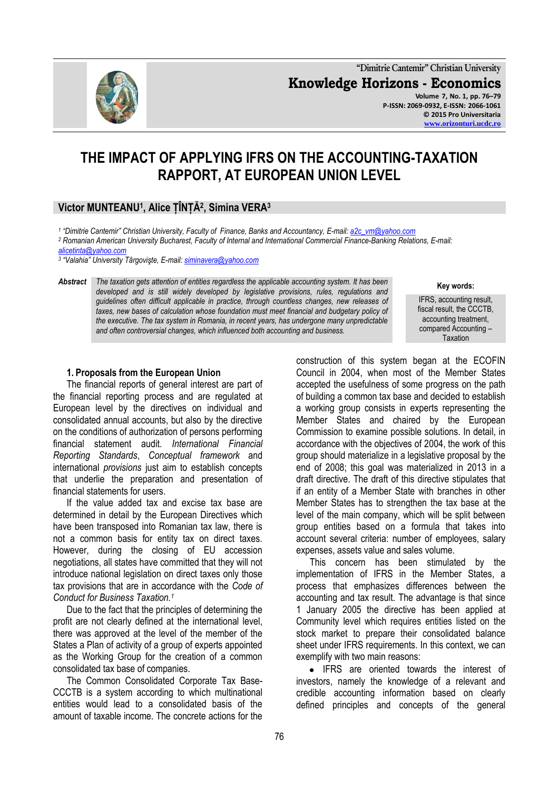**"Dimitrie Cantemir" Christian University Knowledge Horizons - Economics Volume 7, No. 1, pp. 76–79 P-ISSN: 2069-0932, E-ISSN: 2066-1061**

# **THE IMPACT OF APPLYING IFRS ON THE ACCOUNTING-TAXATION RAPPORT, AT EUROPEAN UNION LEVEL**

# **Victor MUNTEANU<sup>1</sup> , Alice ȚÎNȚĂ<sup>2</sup> , Simina VERA<sup>3</sup>**

*1 "Dimitrie Cantemir" Christian University, Faculty of Finance, Banks and Accountancy, E-mail[: a2c\\_vm@yahoo.com](mailto:a2c_vm@yahoo.com)*

*<sup>2</sup> Romanian American University Bucharest, Faculty of Internal and International Commercial Finance-Banking Relations, E-mail:* 

*[alicetinta@yahoo.com](mailto:alicetinta@yahoo.com)*

*3 "Valahia" University Târgovişte, E-mail[: siminavera@yahoo.com](mailto:siminavera@yahoo.com)*

*Abstract The taxation gets attention of entities regardless the applicable accounting system. It has been developed and is still widely developed by legislative provisions, rules, regulations and guidelines often difficult applicable in practice, through countless changes, new releases of*  taxes, new bases of calculation whose foundation must meet financial and budgetary policy of *the executive. The tax system in Romania, in recent years, has undergone many unpredictable and often controversial changes, which influenced both accounting and business.*

#### **1. Proposals from the European Union**

The financial reports of general interest are part of the financial reporting process and are regulated at European level by the directives on individual and consolidated annual accounts, but also by the directive on the conditions of authorization of persons performing financial statement audit. *International Financial Reporting Standards*, *Conceptual framework* and international *provisions* just aim to establish concepts that underlie the preparation and presentation of financial statements for users.

If the value added tax and excise tax base are determined in detail by the European Directives which have been transposed into Romanian tax law, there is not a common basis for entity tax on direct taxes. However, during the closing of EU accession negotiations, all states have committed that they will not introduce national legislation on direct taxes only those tax provisions that are in accordance with the *Code of Conduct for Business Taxation.<sup>1</sup>*

Due to the fact that the principles of determining the profit are not clearly defined at the international level, there was approved at the level of the member of the States a Plan of activity of a group of experts appointed as the Working Group for the creation of a common consolidated tax base of companies.

The Common Consolidated Corporate Tax Base-CCCTB is a system according to which multinational entities would lead to a consolidated basis of the amount of taxable income. The concrete actions for the

IFRS, accounting result, fiscal result, the CCCTB, accounting treatment, compared Accounting –

**Taxation** 

**Key words:**

construction of this system began at the ECOFIN Council in 2004, when most of the Member States accepted the usefulness of some progress on the path of building a common tax base and decided to establish a working group consists in experts representing the Member States and chaired by the European Commission to examine possible solutions. In detail, in accordance with the objectives of 2004, the work of this group should materialize in a legislative proposal by the end of 2008; this goal was materialized in 2013 in a draft directive. The draft of this directive stipulates that if an entity of a Member State with branches in other Member States has to strengthen the tax base at the level of the main company, which will be split between group entities based on a formula that takes into account several criteria: number of employees, salary expenses, assets value and sales volume.

This concern has been stimulated by the implementation of IFRS in the Member States, a process that emphasizes differences between the accounting and tax result. The advantage is that since 1 January 2005 the directive has been applied at Community level which requires entities listed on the stock market to prepare their consolidated balance sheet under IFRS requirements. In this context, we can exemplify with two main reasons:

• IFRS are oriented towards the interest of investors, namely the knowledge of a relevant and credible accounting information based on clearly defined principles and concepts of the general

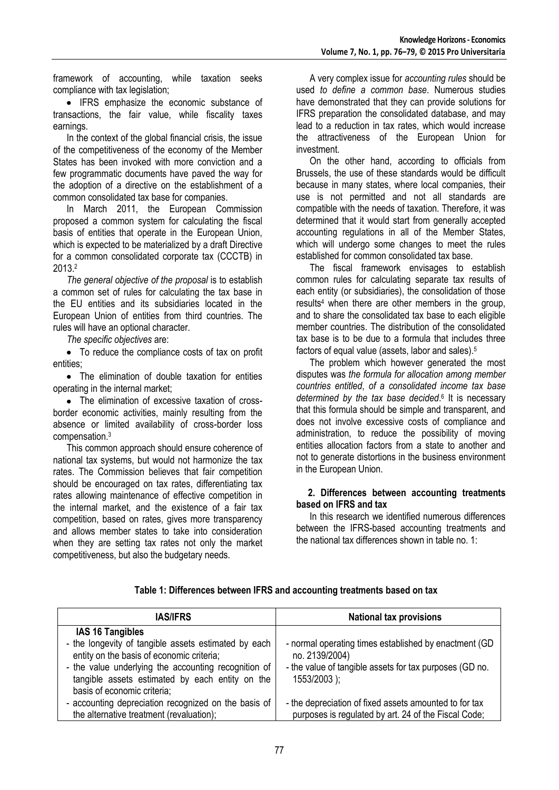framework of accounting, while taxation seeks compliance with tax legislation;

• IFRS emphasize the economic substance of transactions, the fair value, while fiscality taxes earnings.

In the context of the global financial crisis, the issue of the competitiveness of the economy of the Member States has been invoked with more conviction and a few programmatic documents have paved the way for the adoption of a directive on the establishment of a common consolidated tax base for companies.

In March 2011, the European Commission proposed a common system for calculating the fiscal basis of entities that operate in the European Union, which is expected to be materialized by a draft Directive for a common consolidated corporate tax (CCCTB) in 2013.<sup>2</sup>

*The general objective of the proposal* is to establish a common set of rules for calculating the tax base in the EU entities and its subsidiaries located in the European Union of entities from third countries. The rules will have an optional character.

*The specific objectives* are:

To reduce the compliance costs of tax on profit entities;

• The elimination of double taxation for entities operating in the internal market;

• The elimination of excessive taxation of crossborder economic activities, mainly resulting from the absence or limited availability of cross-border loss compensation.<sup>3</sup>

This common approach should ensure coherence of national tax systems, but would not harmonize the tax rates. The Commission believes that fair competition should be encouraged on tax rates, differentiating tax rates allowing maintenance of effective competition in the internal market, and the existence of a fair tax competition, based on rates, gives more transparency and allows member states to take into consideration when they are setting tax rates not only the market competitiveness, but also the budgetary needs.

A very complex issue for *accounting rules* should be used *to define a common base*. Numerous studies have demonstrated that they can provide solutions for IFRS preparation the consolidated database, and may lead to a reduction in tax rates, which would increase the attractiveness of the European Union for investment.

On the other hand, according to officials from Brussels, the use of these standards would be difficult because in many states, where local companies, their use is not permitted and not all standards are compatible with the needs of taxation. Therefore, it was determined that it would start from generally accepted accounting regulations in all of the Member States, which will undergo some changes to meet the rules established for common consolidated tax base.

The fiscal framework envisages to establish common rules for calculating separate tax results of each entity (or subsidiaries), the consolidation of those results<sup>4</sup> when there are other members in the group, and to share the consolidated tax base to each eligible member countries. The distribution of the consolidated tax base is to be due to a formula that includes three factors of equal value (assets, labor and sales).<sup>5</sup>

The problem which however generated the most disputes was *the formula for allocation among member countries entitled*, *of a consolidated income tax base determined by the tax base decided*. 6 It is necessary that this formula should be simple and transparent, and does not involve excessive costs of compliance and administration, to reduce the possibility of moving entities allocation factors from a state to another and not to generate distortions in the business environment in the European Union.

#### **2. Differences between accounting treatments based on IFRS and tax**

In this research we identified numerous differences between the IFRS-based accounting treatments and the national tax differences shown in table no. 1:

| <b>IAS/IFRS</b>                                                                                                                                                                                                                             | <b>National tax provisions</b>                                                                                                                        |
|---------------------------------------------------------------------------------------------------------------------------------------------------------------------------------------------------------------------------------------------|-------------------------------------------------------------------------------------------------------------------------------------------------------|
| <b>IAS 16 Tangibles</b>                                                                                                                                                                                                                     |                                                                                                                                                       |
| - the longevity of tangible assets estimated by each<br>entity on the basis of economic criteria;<br>- the value underlying the accounting recognition of<br>tangible assets estimated by each entity on the<br>basis of economic criteria; | - normal operating times established by enactment (GD)<br>no. 2139/2004)<br>- the value of tangible assets for tax purposes (GD no.<br>$1553/2003$ ); |
| - accounting depreciation recognized on the basis of                                                                                                                                                                                        | - the depreciation of fixed assets amounted to for tax                                                                                                |
| the alternative treatment (revaluation);                                                                                                                                                                                                    | purposes is regulated by art. 24 of the Fiscal Code;                                                                                                  |

**Table 1: Differences between IFRS and accounting treatments based on tax**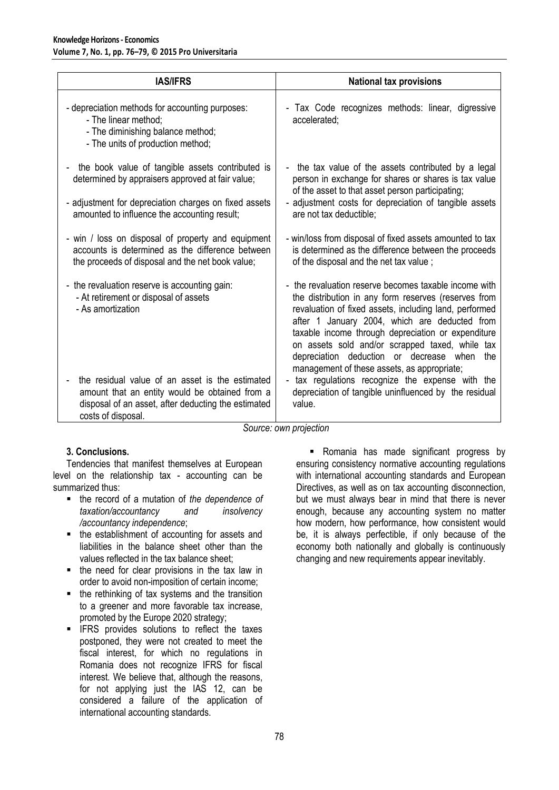| <b>IAS/IFRS</b>                                                                                                                                                                                               | <b>National tax provisions</b>                                                                                                                                                                                                                                                                                                                                                                                                     |
|---------------------------------------------------------------------------------------------------------------------------------------------------------------------------------------------------------------|------------------------------------------------------------------------------------------------------------------------------------------------------------------------------------------------------------------------------------------------------------------------------------------------------------------------------------------------------------------------------------------------------------------------------------|
| - depreciation methods for accounting purposes:<br>- The linear method:<br>- The diminishing balance method;<br>- The units of production method;                                                             | - Tax Code recognizes methods: linear, digressive<br>accelerated:                                                                                                                                                                                                                                                                                                                                                                  |
| the book value of tangible assets contributed is<br>determined by appraisers approved at fair value;<br>- adjustment for depreciation charges on fixed assets<br>amounted to influence the accounting result; | - the tax value of the assets contributed by a legal<br>person in exchange for shares or shares is tax value<br>of the asset to that asset person participating;<br>- adjustment costs for depreciation of tangible assets<br>are not tax deductible;                                                                                                                                                                              |
| - win / loss on disposal of property and equipment<br>accounts is determined as the difference between<br>the proceeds of disposal and the net book value;                                                    | - win/loss from disposal of fixed assets amounted to tax<br>is determined as the difference between the proceeds<br>of the disposal and the net tax value;                                                                                                                                                                                                                                                                         |
| the revaluation reserve is accounting gain:<br>- At retirement or disposal of assets<br>- As amortization                                                                                                     | - the revaluation reserve becomes taxable income with<br>the distribution in any form reserves (reserves from<br>revaluation of fixed assets, including land, performed<br>after 1 January 2004, which are deducted from<br>taxable income through depreciation or expenditure<br>on assets sold and/or scrapped taxed, while tax<br>depreciation deduction or decrease when<br>the<br>management of these assets, as appropriate; |
| the residual value of an asset is the estimated<br>amount that an entity would be obtained from a<br>disposal of an asset, after deducting the estimated<br>costs of disposal.                                | - tax regulations recognize the expense with the<br>depreciation of tangible uninfluenced by the residual<br>value.                                                                                                                                                                                                                                                                                                                |

*Source: own projection*

## **3. Conclusions.**

Tendencies that manifest themselves at European level on the relationship tax - accounting can be summarized thus:

- the record of a mutation of *the dependence of taxation/accountancy and insolvency /accountancy independence*;
- the establishment of accounting for assets and liabilities in the balance sheet other than the values reflected in the tax balance sheet;
- the need for clear provisions in the tax law in order to avoid non-imposition of certain income;
- $\blacksquare$  the rethinking of tax systems and the transition to a greener and more favorable tax increase, promoted by the Europe 2020 strategy;
- **IFRS** provides solutions to reflect the taxes postponed, they were not created to meet the fiscal interest, for which no regulations in Romania does not recognize IFRS for fiscal interest. We believe that, although the reasons, for not applying just the IAS 12, can be considered a failure of the application of international accounting standards.

**-** Romania has made significant progress by ensuring consistency normative accounting regulations with international accounting standards and European Directives, as well as on tax accounting disconnection, but we must always bear in mind that there is never enough, because any accounting system no matter how modern, how performance, how consistent would be, it is always perfectible, if only because of the economy both nationally and globally is continuously changing and new requirements appear inevitably.